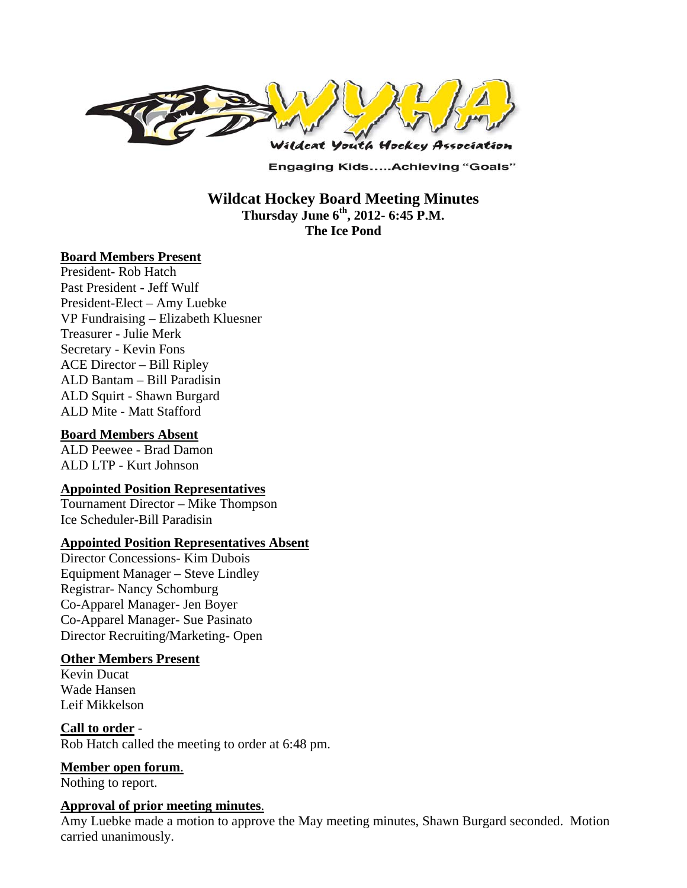

**Engaging Kids.....Achieving "Goals"** 

**Wildcat Hockey Board Meeting Minutes Thursday June 6th, 2012- 6:45 P.M. The Ice Pond** 

#### **Board Members Present**

President- Rob Hatch Past President - Jeff Wulf President-Elect – Amy Luebke VP Fundraising – Elizabeth Kluesner Treasurer - Julie Merk Secretary - Kevin Fons ACE Director – Bill Ripley ALD Bantam – Bill Paradisin ALD Squirt - Shawn Burgard ALD Mite - Matt Stafford

#### **Board Members Absent**

ALD Peewee - Brad Damon ALD LTP - Kurt Johnson

#### **Appointed Position Representatives**

Tournament Director – Mike Thompson Ice Scheduler-Bill Paradisin

#### **Appointed Position Representatives Absent**

Director Concessions- Kim Dubois Equipment Manager – Steve Lindley Registrar- Nancy Schomburg Co-Apparel Manager- Jen Boyer Co-Apparel Manager- Sue Pasinato Director Recruiting/Marketing- Open

#### **Other Members Present**

Kevin Ducat Wade Hansen Leif Mikkelson

#### **Call to order** - Rob Hatch called the meeting to order at 6:48 pm.

**Member open forum**.

Nothing to report.

### **Approval of prior meeting minutes**.

Amy Luebke made a motion to approve the May meeting minutes, Shawn Burgard seconded. Motion carried unanimously.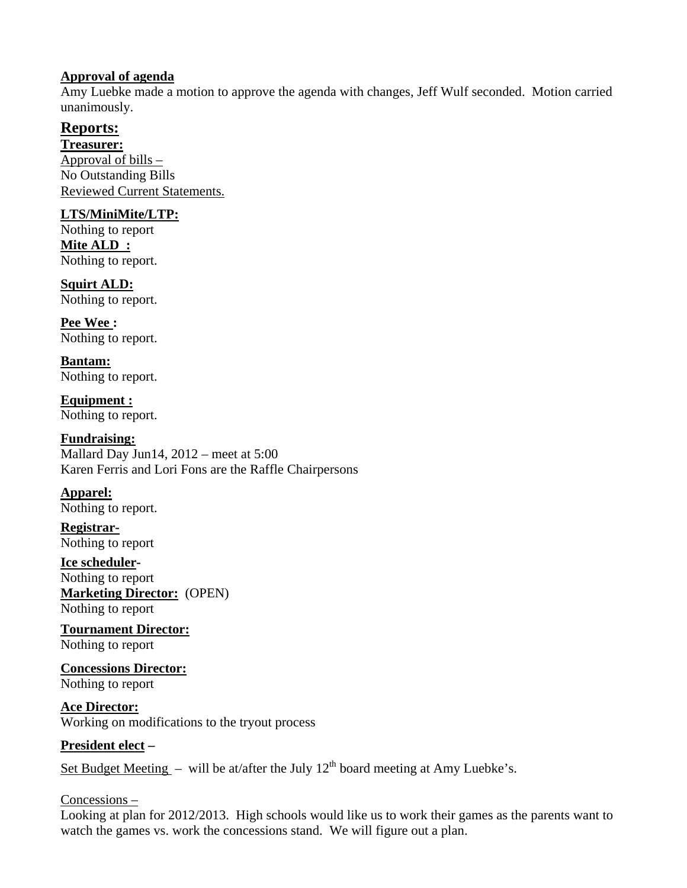## **Approval of agenda**

Amy Luebke made a motion to approve the agenda with changes, Jeff Wulf seconded. Motion carried unanimously.

# **Reports:**

**Treasurer:**  Approval of bills – No Outstanding Bills Reviewed Current Statements.

# **LTS/MiniMite/LTP:**

Nothing to report **Mite ALD :**  Nothing to report.

**Squirt ALD:**  Nothing to report.

**Pee Wee :**  Nothing to report.

**Bantam:**  Nothing to report.

**Equipment :**  Nothing to report.

#### **Fundraising:**  Mallard Day Jun14, 2012 – meet at 5:00 Karen Ferris and Lori Fons are the Raffle Chairpersons

**Apparel:**  Nothing to report.

**Registrar-**Nothing to report

**Ice scheduler-**Nothing to report **Marketing Director:** (OPEN) Nothing to report

**Tournament Director:** Nothing to report

**Concessions Director:** Nothing to report

**Ace Director:**  Working on modifications to the tryout process

# **President elect –**

Set Budget Meeting – will be at/after the July  $12<sup>th</sup>$  board meeting at Amy Luebke's.

## Concessions –

Looking at plan for 2012/2013. High schools would like us to work their games as the parents want to watch the games vs. work the concessions stand. We will figure out a plan.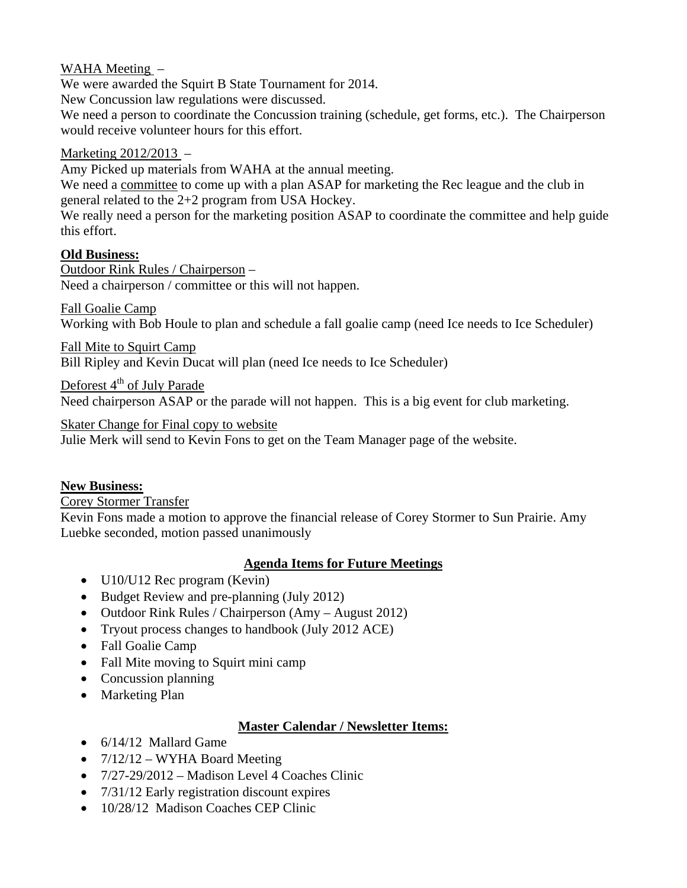# WAHA Meeting –

We were awarded the Squirt B State Tournament for 2014.

New Concussion law regulations were discussed.

We need a person to coordinate the Concussion training (schedule, get forms, etc.). The Chairperson would receive volunteer hours for this effort.

### Marketing 2012/2013 –

Amy Picked up materials from WAHA at the annual meeting.

We need a committee to come up with a plan ASAP for marketing the Rec league and the club in general related to the 2+2 program from USA Hockey.

We really need a person for the marketing position ASAP to coordinate the committee and help guide this effort.

## **Old Business:**

Outdoor Rink Rules / Chairperson – Need a chairperson / committee or this will not happen.

Fall Goalie Camp Working with Bob Houle to plan and schedule a fall goalie camp (need Ice needs to Ice Scheduler)

Fall Mite to Squirt Camp

Bill Ripley and Kevin Ducat will plan (need Ice needs to Ice Scheduler)

Deforest  $4<sup>th</sup>$  of July Parade

Need chairperson ASAP or the parade will not happen. This is a big event for club marketing.

Skater Change for Final copy to website

Julie Merk will send to Kevin Fons to get on the Team Manager page of the website.

## **New Business:**

Corey Stormer Transfer

Kevin Fons made a motion to approve the financial release of Corey Stormer to Sun Prairie. Amy Luebke seconded, motion passed unanimously

## **Agenda Items for Future Meetings**

- U10/U12 Rec program (Kevin)
- Budget Review and pre-planning (July 2012)
- Outdoor Rink Rules / Chairperson (Amy August 2012)
- Tryout process changes to handbook (July 2012 ACE)
- Fall Goalie Camp
- Fall Mite moving to Squirt mini camp
- Concussion planning
- Marketing Plan

## **Master Calendar / Newsletter Items:**

- $\bullet$  6/14/12 Mallard Game
- $7/12/12 WYHA$  Board Meeting
- $\bullet$  7/27-29/2012 Madison Level 4 Coaches Clinic
- 7/31/12 Early registration discount expires
- 10/28/12 Madison Coaches CEP Clinic